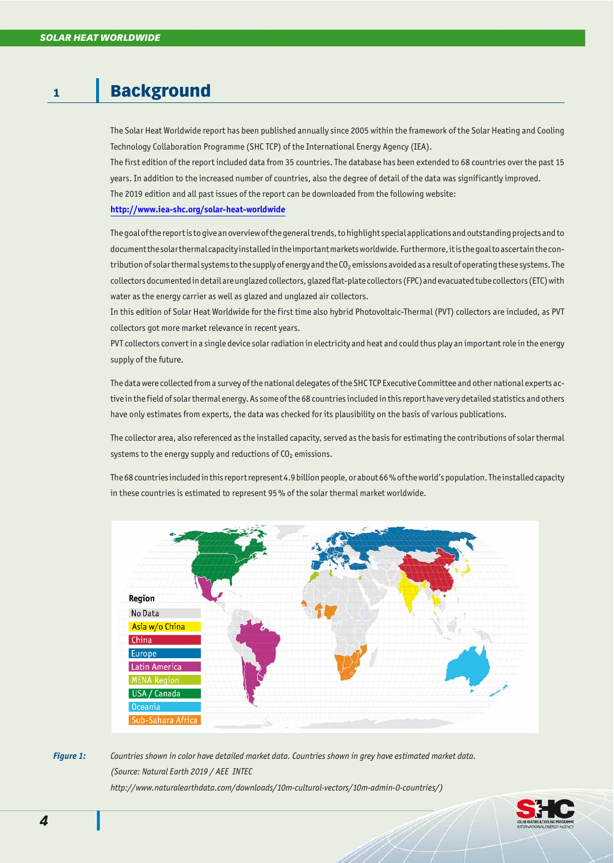# **1** Background

The Solar Heat Worldwide report has been published annually since 2005 within the framework of the Solar Heating and Cooling Technology Collaboration Programme (SHC TCP) of the International Energy Agency (IEA).

The first edition of the report included data from 35 countries. The database has been extended to 68 countries over the past 15 years. In addition to the increased number of countries, also the degree of detail of the data was significantly improved. The 2019 edition and all past issues of the report can be downloaded from the following website:

#### **<http://www.iea-shc.org/solar-heat-worldwide>**

The goal of the report is to give an overview of the general trends, to highlight special applications and out standing projects and to document the solar thermal capacity installed in the important markets worldwide. Furthermore, it is the goal to ascertain the contribution of solar thermal systems to the supply of energy and the CO<sub>2</sub> emissions avoided as a result of operating these systems. The collectors documented in detail are unglazed collectors, glazed flat-plate collectors (FPC) and evacuated tube collectors (ETC) with water as the energy carrier as well as glazed and unglazed air collectors.

In this edition of Solar Heat Worldwide for the first time also hybrid Photovoltaic-Thermal (PVT) collectors are included, as PVT collectors got more market relevance in recent years.

PVT collectors convert in a single device solar radiation in electricity and heat and could thus play an important role in the energy supply of the future.

The data were collected from a survey of the national delegates of the SHCTCP Executive Committee and other national experts active in the field of solar thermal energy. As some of the 68 countries included in this report have very detailed statistics and others have only estimates from experts, the data was checked for its plausibility on the basis of various publications.

The collector area, also referenced as the installed capacity, served as the basis for estimating the contributions of solar thermal systems to the energy supply and reductions of  $CO<sub>2</sub>$  emissions.

The 68 countries included in this report represent 4.9 billion people, or about 66% of the world's population. The installed capacity in these countries is estimated to represent 95% of the solar thermal market worldwide.



*Figure 1: Countries shown in color have detailed market data. Countries shown in grey have estimated market data. (Source: Nat u ral Earth 2019 / AEE INTEC http://www.naturalearthdata.com/down loads/10m-cul tural-vec tors/10m-admin-0-coun tries/)*

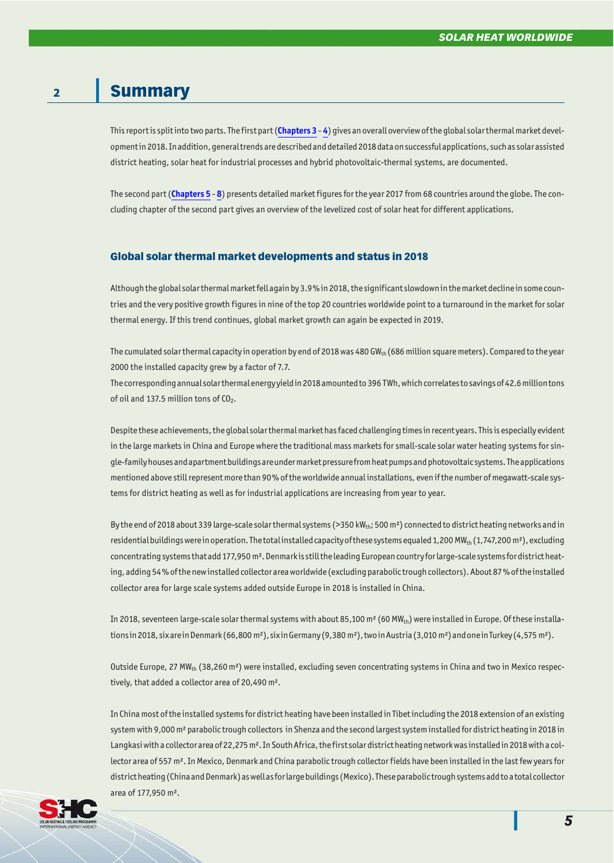## **2** Summary

This report is split into two parts. The first part ([Chapters 3](#page--1-0) - [4](#page--1-0)) gives an overall overview of the global solar thermal market development in 2018. In addition, general trends are described and detailed 2018 data on successful applications, such as solar assisted district heating, solar heat for industrial processes and hybrid photovoltaic-thermal systems, are documented.

The second part ([Chapters 5](#page--1-0) - [8](#page--1-0)) presents detailed market figures for the year 2017 from 68 countries around the globe. The concluding chapter of the second part gives an overview of the levelized cost of solar heat for different applications.

### Global solar thermal market developments and status in 2018

Although the global solar thermal market fell again by 3.9% in 2018, the significant slowdown in the market decline in some countries and the very positive growth figures in nine of the top 20 countries worldwide point to a turnaround in the market for solar thermal energy. If this trend continues, global market growth can again be expected in 2019.

The cumulated solar thermal capacity in operation by end of 2018 was 480 GW<sub>th</sub> (686 million square meters). Compared to the year 2000 the installed capacity grew by a factor of 7.7.

The corresponding annual solar thermal energy yield in 2018 amounted to 396 TWh, which correlates to savings of 42.6 million tons of oil and 137.5 million tons of  $CO<sub>2</sub>$ .

Despite these achievements, the global solar thermal market has faced challenging times in recent years. This is especially evident in the large markets in China and Europe where the traditional mass markets for small-scale solar water heating systems for single-family houses and apartment buildings are under market pressure from heat pumps and photovoltaic systems. The applications mentioned above still represent more than 90% of the worldwide annual installations, even if the number of megawatt-scale systems for district heating as well as for industrial applications are increasing from year to year.

By the end of 2018 about 339 large-scale solar thermal systems (>350 kW<sub>th</sub>; 500 m<sup>2</sup>) connected to district heating networks and in residential buildings were in operation. The total installed capacity of these systems equaled 1,200 MW<sub>th</sub> (1,747,200 m<sup>2</sup>), excluding concentrating systems that add 177,950 m<sup>2</sup>. Denmark is still the leading European country for large-scale systems for district heating, adding 54% of the new installed collector area worldwide (excluding parabolic trough collectors). About 87% of the installed collector area for large scale systems added outside Europe in 2018 is installed in China.

In 2018, seventeen large-scale solar thermal systems with about 85,100 m<sup>2</sup> (60 MW<sub>th</sub>) were installed in Europe. Of these installations in 2018, six are in Denmark (66,800 m<sup>2</sup>), six in Germany (9,380 m<sup>2</sup>), two in Austria (3,010 m<sup>2</sup>) and one in Turkey (4,575 m<sup>2</sup>).

Outside Europe, 27 MW<sub>th</sub> (38,260 m<sup>2</sup>) were installed, excluding seven concentrating systems in China and two in Mexico respectively, that added a collector area of 20,490 m<sup>2</sup>.

In China most of the installed systems for district heating have been installed in Tibet including the 2018 extension of an existing system with 9,000 m<sup>2</sup> parabolic trough collectors in Shenza and the second largest system installed for district heating in 2018 in Langkasi with a collector area of 22,275 m<sup>2</sup>. In South Africa, the first solar district heating network was installed in 2018 with a collector area of 557 m<sup>2</sup>. In Mexico, Denmark and China parabolic trough collector fields have been installed in the last few years for district heating (China and Denmark) as well as for large buildings (Mexico). These parabolic trough systems add to a total collector area of 177,950 m².

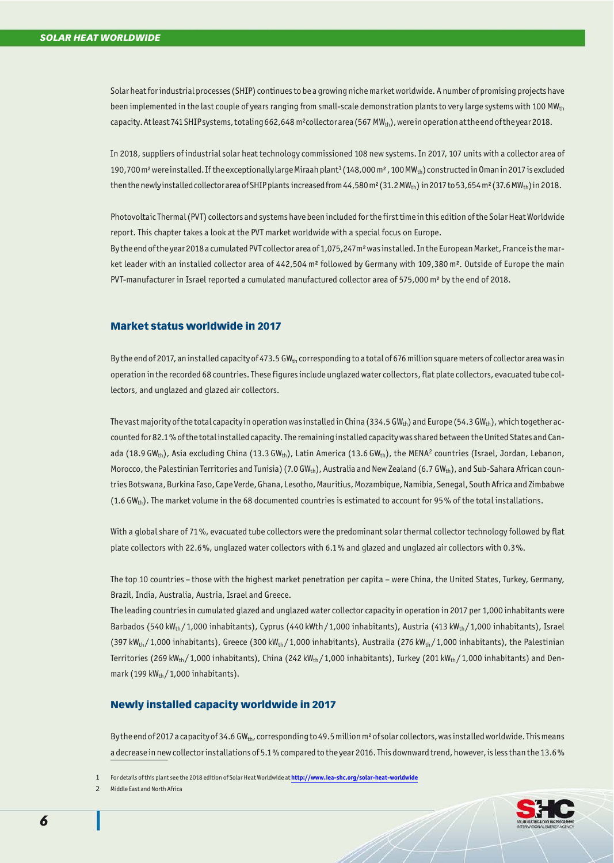Solar heat for industrial processes (SHIP) continues to be a growing niche market worldwide. A number of promising projects have been implemented in the last couple of years ranging from small-scale demonstration plants to very large systems with 100 MW<sub>th</sub> capacity. At least 741 SHIP systems, totaling 662,648 m<sup>2</sup>collector area (567 MW<sub>th</sub>), were in operation at the end of the year 2018.

In 2018, suppliers of industrial solar heat technology commissioned 108 new systems. In 2017, 107 units with a collector area of 190,700 m<sup>2</sup> wereinstalled. If the exceptionally large Miraah plant<sup>1</sup> (148,000 m<sup>2</sup>, 100 MW<sub>th</sub>) constructed in Oman in 2017 is excluded then the newly installed collector area of SHIP plants increased from  $44,580$  m<sup>2</sup> (31.2 MW<sub>th</sub>) in 2017 to 53,654 m<sup>2</sup> (37.6 MW<sub>th</sub>) in 2018.

Photovoltaic Thermal (PVT) collectors and systems have been included for the first time in this edition of the Solar Heat Worldwide report. This chapter takes a look at the PVT market worldwide with a special focus on Europe.

By the end of the year 2018 a cumulated PVT collector area of 1,075,247m<sup>2</sup> was installed. In the European Market, France is the market leader with an installed collector area of 442,504 m<sup>2</sup> followed by Germany with 109,380 m<sup>2</sup>. Outside of Europe the main PVT-manufacturer in Israel reported a cumulated manufactured collector area of 575,000 m<sup>2</sup> by the end of 2018.

#### Market status worldwide in 2017

By the end of 2017, an installed capacity of 473.5 GW<sub>th</sub> corresponding to a total of 676 million square meters of collector area was in operation in the recorded 68 countries. These figures include unglazed water collectors, flat plate collectors, evacuated tube collectors, and unglazed and glazed air collectors.

The vast majority of the total capacity in operation was installed in China (334.5 GW<sub>th</sub>) and Europe (54.3 GW<sub>th</sub>), which to gether accounted for 82.1% of the total installed capacity. The remaining installed capacity was shared between the United States and Canada (18.9 GW<sub>th</sub>), Asia excluding China (13.3 GW<sub>th</sub>), Latin America (13.6 GW<sub>th</sub>), the MENA<sup>2</sup> countries (Israel, Jordan, Lebanon, Morocco, the Palestinian Territories and Tunisia) (7.0 GW<sub>th</sub>), Australia and New Zealand (6.7 GW<sub>th</sub>), and Sub-Sahara African countries Botswana, Burkina Faso, Cape Verde, Ghana, Lesotho, Mauritius, Mozambique, Namibia, Senegal, South Africa and Zimbabwe (1.6 GW<sub>th</sub>). The market volume in the 68 documented countries is estimated to account for 95% of the total installations.

With a global share of 71%, evacuated tube collectors were the predominant solar thermal collector technology followed by flat plate collectors with 22.6%, unglazed water collectors with 6.1% and glazed and unglazed air collectors with 0.3%.

The top 10 countries – those with the highest market penetration per capita – were China, the United States, Turkey, Germany, Brazil, India, Australia, Austria, Israel and Greece.

The leading countries in cumulated glazed and unglazed water collector capacity in operation in 2017 per 1,000 inhabitants were Barbados (540 kW<sub>th</sub>/1,000 inhabitants), Cyprus (440 kWth/1,000 inhabitants), Austria (413 kW<sub>th</sub>/1,000 inhabitants), Israel (397 kW<sub>th</sub>/1,000 inhabitants), Greece (300 kW<sub>th</sub>/1,000 inhabitants), Australia (276 kW<sub>th</sub>/1,000 inhabitants), the Palestinian Territories (269 kW<sub>th</sub>/1,000 inhabitants), China (242 kW<sub>th</sub>/1,000 inhabitants), Turkey (201 kW<sub>th</sub>/1,000 inhabitants) and Denmark (199 kW $_{\text{th}}$ /1,000 inhabitants).

#### Newly installed capacity worldwide in 2017

By the end of 2017 a capacity of 34.6 GW<sub>th</sub>, corresponding to 49.5 million m<sup>2</sup> of solar collectors, was installed worldwide. This means a decrease in new collector installations of 5.1% compared to the year 2016. This downward trend, however, is less than the 13.6%



<sup>1</sup> For details of this plant see the 2018 edition of Solar Heat Worldwide at **<http://www.iea-shc.org/solar-heat-worldwide>**

<sup>2</sup> Middle East and North Africa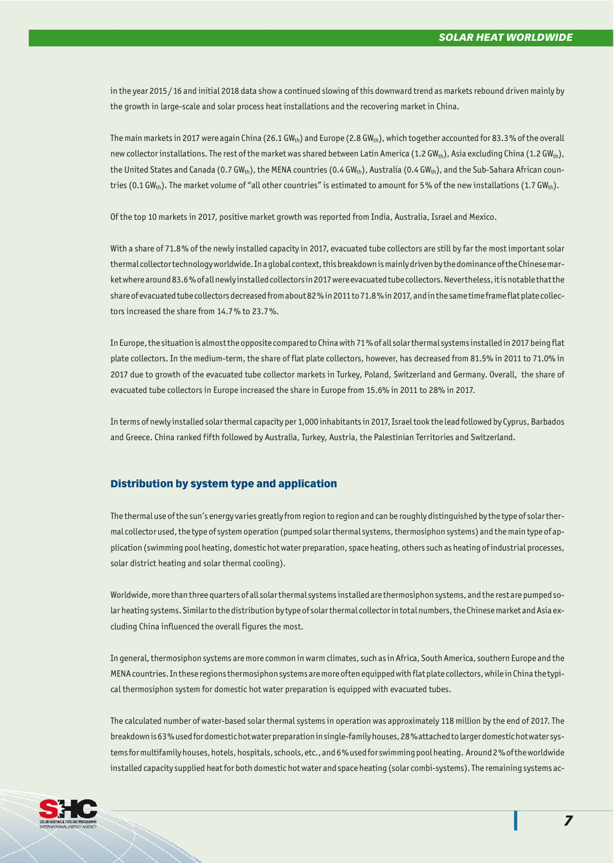in the year 2015/16 and initial 2018 data show a continued slowing of this downward trend as markets rebound driven mainly by the growth in large-scale and solar process heat installations and the recovering market in China.

The main markets in 2017 were again China (26.1 GW<sub>th</sub>) and Europe (2.8 GW<sub>th</sub>), which together accounted for 83.3% of the overall new collector installations. The rest of the market was shared between Latin America (1.2 GW<sub>th</sub>), Asia excluding China (1.2 GW<sub>th</sub>), the United States and Canada (0.7 GW<sub>th</sub>), the MENA countries (0.4 GW<sub>th</sub>), Australia (0.4 GW<sub>th</sub>), and the Sub-Sahara African countries (0.1 GW<sub>th</sub>). The market volume of "all other countries" is estimated to amount for 5% of the new installations (1.7 GW<sub>th</sub>).

Of the top 10 markets in 2017, positive market growth was reported from India, Australia, Israel and Mexico.

With a share of 71.8% of the newly installed capacity in 2017, evacuated tube collectors are still by far the most important solar thermal collector technology worldwide. In a global context, this breakdown is mainly driven by the dominance of the Chinese market where around 83.6% of all newly installed collectors in 2017 were evacuated tube collectors. Nevertheless, it is notable that the share of evacuated tube collectors decreased from about 82 % in 2011 to 71.8% in 2017, and in the same time frame flat plate collectors increased the share from 14.7% to 23.7%.

In Europe, the situation is almost the opposite compared to China with 71% of all solar thermal systems installed in 2017 being flat plate collectors. In the medium-term, the share of flat plate collectors, however, has decreased from 81.5% in 2011 to 71.0% in 2017 due to growth of the evacuated tube collector markets in Turkey, Poland, Switzerland and Germany. Overall, the share of evacuated tube collectors in Europe increased the share in Europe from 15.6% in 2011 to 28% in 2017.

In terms of newly installed solar thermal capacity per 1,000 inhabitants in 2017, Israel took the lead followed by Cyprus, Barbados and Greece. China ranked fifth followed by Australia, Turkey, Austria, the Palestinian Territories and Switzerland.

### Distribution by system type and application

The thermal use of the sun's energy varies greatly from region to region and can be roughly distinguished by the type of solar thermal collector used, the type of system operation (pumped solar thermal systems, thermosiphon systems) and the main type of application (swimming pool heating, domestic hot water preparation, space heating, others such as heating of industrial processes, solar district heating and solar thermal cooling).

Worldwide, more than three quarters of all solar thermal systems installed are thermosiphon systems, and the rest are pumped solar heating systems. Similar to the distribution by type of solar thermal collector in total numbers, the Chinese market and Asia excluding China influenced the overall figures the most.

In general, thermosiphon systems are more common in warm climates, such as in Africa, South America, southern Europe and the MENA countries. In these regions thermosiphon systems are more often equipped with flat plate collectors, while in China the typical thermosiphon system for domestic hot water preparation is equipped with evacuated tubes.

The calculated number of water-based solar thermal systems in operation was approximately 118 million by the end of 2017. The breakdown is 63% used for domestic hot water preparation in single-family houses, 28% attached to larger domestic hot water systems for multifamily houses, hotels, hospitals, schools, etc., and 6% used for swimming pool heating. Around 2% of the worldwide installed capacity supplied heat for both domestic hot water and space heating (solar combi-systems). The remaining systems ac-



*7*